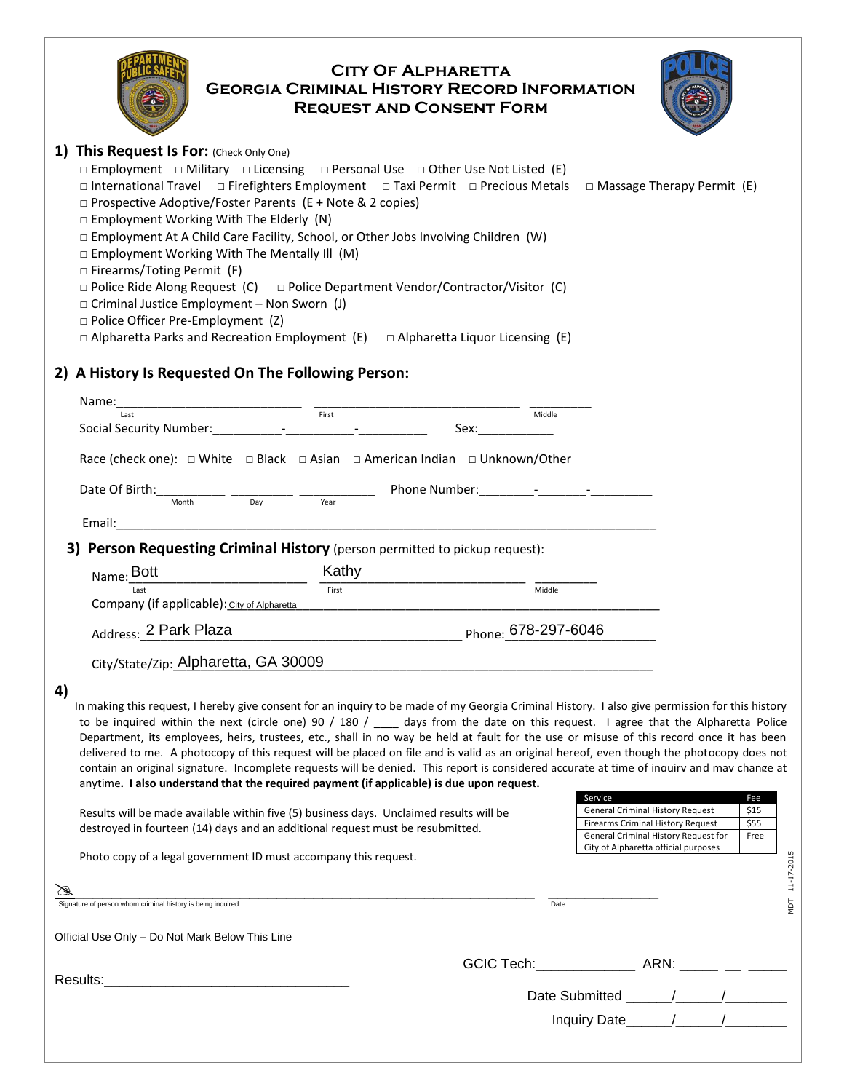| <b>CITY OF ALPHARETTA</b><br><b>GEORGIA CRIMINAL HISTORY RECORD INFORMATION</b><br><b>REQUEST AND CONSENT FORM</b>                                                                                                                                                                                                                                                                                                                                                                                                                                                                                                                                                                                                                                                                                                                                                                                                                                                                                                                                                                                                                    |                                                                                                      |       |  |      |        |                                                                              |  |      |            |
|---------------------------------------------------------------------------------------------------------------------------------------------------------------------------------------------------------------------------------------------------------------------------------------------------------------------------------------------------------------------------------------------------------------------------------------------------------------------------------------------------------------------------------------------------------------------------------------------------------------------------------------------------------------------------------------------------------------------------------------------------------------------------------------------------------------------------------------------------------------------------------------------------------------------------------------------------------------------------------------------------------------------------------------------------------------------------------------------------------------------------------------|------------------------------------------------------------------------------------------------------|-------|--|------|--------|------------------------------------------------------------------------------|--|------|------------|
| 1) This Request Is For: (Check Only One)<br>$\square$ Employment $\square$ Military $\square$ Licensing $\square$ Personal Use $\square$ Other Use Not Listed (E)<br>□ International Travel □ Firefighters Employment □ Taxi Permit □ Precious Metals<br>□ Massage Therapy Permit (E)<br>$\Box$ Prospective Adoptive/Foster Parents (E + Note & 2 copies)<br>□ Employment Working With The Elderly (N)<br>□ Employment At A Child Care Facility, School, or Other Jobs Involving Children (W)<br>$\square$ Employment Working With The Mentally III (M)<br>□ Firearms/Toting Permit (F)<br>$\Box$ Police Ride Along Request (C) $\Box$ Police Department Vendor/Contractor/Visitor (C)<br>□ Criminal Justice Employment – Non Sworn (J)<br>D Police Officer Pre-Employment (Z)<br>$\Box$ Alpharetta Parks and Recreation Employment (E) $\Box$ Alpharetta Liquor Licensing (E)                                                                                                                                                                                                                                                        |                                                                                                      |       |  |      |        |                                                                              |  |      |            |
|                                                                                                                                                                                                                                                                                                                                                                                                                                                                                                                                                                                                                                                                                                                                                                                                                                                                                                                                                                                                                                                                                                                                       | 2) A History Is Requested On The Following Person:                                                   |       |  |      |        |                                                                              |  |      |            |
|                                                                                                                                                                                                                                                                                                                                                                                                                                                                                                                                                                                                                                                                                                                                                                                                                                                                                                                                                                                                                                                                                                                                       |                                                                                                      |       |  | Sex: | Middle |                                                                              |  |      |            |
|                                                                                                                                                                                                                                                                                                                                                                                                                                                                                                                                                                                                                                                                                                                                                                                                                                                                                                                                                                                                                                                                                                                                       | Race (check one): $\Box$ White $\Box$ Black $\Box$ Asian $\Box$ American Indian $\Box$ Unknown/Other |       |  |      |        |                                                                              |  |      |            |
|                                                                                                                                                                                                                                                                                                                                                                                                                                                                                                                                                                                                                                                                                                                                                                                                                                                                                                                                                                                                                                                                                                                                       | Date Of Birth: $\frac{1}{\sqrt{2\pi}}$ $\frac{1}{\sqrt{2\pi}}$ $\frac{1}{\sqrt{2\pi}}$               |       |  |      |        |                                                                              |  |      |            |
|                                                                                                                                                                                                                                                                                                                                                                                                                                                                                                                                                                                                                                                                                                                                                                                                                                                                                                                                                                                                                                                                                                                                       |                                                                                                      | Year  |  |      |        |                                                                              |  |      |            |
|                                                                                                                                                                                                                                                                                                                                                                                                                                                                                                                                                                                                                                                                                                                                                                                                                                                                                                                                                                                                                                                                                                                                       | 3) Person Requesting Criminal History (person permitted to pickup request):                          |       |  |      |        |                                                                              |  |      |            |
|                                                                                                                                                                                                                                                                                                                                                                                                                                                                                                                                                                                                                                                                                                                                                                                                                                                                                                                                                                                                                                                                                                                                       | Name: Bott                                                                                           | Kathy |  |      |        |                                                                              |  |      |            |
|                                                                                                                                                                                                                                                                                                                                                                                                                                                                                                                                                                                                                                                                                                                                                                                                                                                                                                                                                                                                                                                                                                                                       | Company (if applicable): City of Alpharetta                                                          | First |  |      | Middle |                                                                              |  |      |            |
| Address: 2 Park Plaza<br>Phone: 678-297-6046 Phone: 1997-1997-0046                                                                                                                                                                                                                                                                                                                                                                                                                                                                                                                                                                                                                                                                                                                                                                                                                                                                                                                                                                                                                                                                    |                                                                                                      |       |  |      |        |                                                                              |  |      |            |
|                                                                                                                                                                                                                                                                                                                                                                                                                                                                                                                                                                                                                                                                                                                                                                                                                                                                                                                                                                                                                                                                                                                                       | City/State/Zip: Alpharetta, GA 30009                                                                 |       |  |      |        |                                                                              |  |      |            |
|                                                                                                                                                                                                                                                                                                                                                                                                                                                                                                                                                                                                                                                                                                                                                                                                                                                                                                                                                                                                                                                                                                                                       |                                                                                                      |       |  |      |        |                                                                              |  |      |            |
| 4)<br>In making this request, I hereby give consent for an inquiry to be made of my Georgia Criminal History. I also give permission for this history<br>to be inquired within the next (circle one) 90 / 180 / ___ days from the date on this request. I agree that the Alpharetta Police<br>Department, its employees, heirs, trustees, etc., shall in no way be held at fault for the use or misuse of this record once it has been<br>delivered to me. A photocopy of this request will be placed on file and is valid as an original hereof, even though the photocopy does not<br>contain an original signature. Incomplete requests will be denied. This report is considered accurate at time of inquirv and may change at<br>anytime. I also understand that the required payment (if applicable) is due upon request.<br>Service<br>Fee<br><b>General Criminal History Request</b><br>\$15<br>Results will be made available within five (5) business days. Unclaimed results will be<br>\$55<br><b>Firearms Criminal History Request</b><br>destroyed in fourteen (14) days and an additional request must be resubmitted. |                                                                                                      |       |  |      |        |                                                                              |  |      |            |
|                                                                                                                                                                                                                                                                                                                                                                                                                                                                                                                                                                                                                                                                                                                                                                                                                                                                                                                                                                                                                                                                                                                                       |                                                                                                      |       |  |      |        | General Criminal History Request for<br>City of Alpharetta official purposes |  | Free |            |
|                                                                                                                                                                                                                                                                                                                                                                                                                                                                                                                                                                                                                                                                                                                                                                                                                                                                                                                                                                                                                                                                                                                                       | Photo copy of a legal government ID must accompany this request.                                     |       |  |      |        |                                                                              |  |      | 11-17-2015 |
|                                                                                                                                                                                                                                                                                                                                                                                                                                                                                                                                                                                                                                                                                                                                                                                                                                                                                                                                                                                                                                                                                                                                       | Signature of person whom criminal history is being inquired                                          |       |  |      | Date   |                                                                              |  |      | NDT        |
|                                                                                                                                                                                                                                                                                                                                                                                                                                                                                                                                                                                                                                                                                                                                                                                                                                                                                                                                                                                                                                                                                                                                       | Official Use Only - Do Not Mark Below This Line                                                      |       |  |      |        |                                                                              |  |      |            |
|                                                                                                                                                                                                                                                                                                                                                                                                                                                                                                                                                                                                                                                                                                                                                                                                                                                                                                                                                                                                                                                                                                                                       |                                                                                                      |       |  |      |        |                                                                              |  |      |            |
|                                                                                                                                                                                                                                                                                                                                                                                                                                                                                                                                                                                                                                                                                                                                                                                                                                                                                                                                                                                                                                                                                                                                       |                                                                                                      |       |  |      |        |                                                                              |  |      |            |
|                                                                                                                                                                                                                                                                                                                                                                                                                                                                                                                                                                                                                                                                                                                                                                                                                                                                                                                                                                                                                                                                                                                                       |                                                                                                      |       |  |      |        |                                                                              |  |      |            |
|                                                                                                                                                                                                                                                                                                                                                                                                                                                                                                                                                                                                                                                                                                                                                                                                                                                                                                                                                                                                                                                                                                                                       |                                                                                                      |       |  |      |        |                                                                              |  |      |            |

MDT 11-17-2015